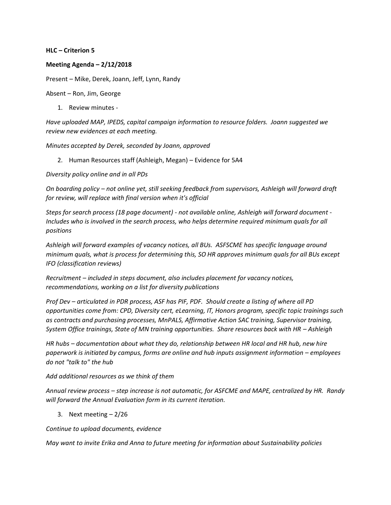## **HLC – Criterion 5**

## **Meeting Agenda – 2/12/2018**

Present – Mike, Derek, Joann, Jeff, Lynn, Randy

Absent – Ron, Jim, George

1. Review minutes -

*Have uploaded MAP, IPEDS, capital campaign information to resource folders. Joann suggested we review new evidences at each meeting.*

*Minutes accepted by Derek, seconded by Joann, approved*

2. Human Resources staff (Ashleigh, Megan) – Evidence for 5A4

*Diversity policy online and in all PDs*

*On boarding policy – not online yet, still seeking feedback from supervisors, Ashleigh will forward draft for review, will replace with final version when it's official*

*Steps for search process (18 page document) - not available online, Ashleigh will forward document - Includes who is involved in the search process, who helps determine required minimum quals for all positions*

*Ashleigh will forward examples of vacancy notices, all BUs. ASFSCME has specific language around minimum quals, what is process for determining this, SO HR approves minimum quals for all BUs except IFO (classification reviews)*

*Recruitment – included in steps document, also includes placement for vacancy notices, recommendations, working on a list for diversity publications*

*Prof Dev – articulated in PDR process, ASF has PIF, PDF. Should create a listing of where all PD opportunities come from: CPD, Diversity cert, eLearning, IT, Honors program, specific topic trainings such as contracts and purchasing processes, MnPALS, Affirmative Action SAC training, Supervisor training, System Office trainings, State of MN training opportunities. Share resources back with HR - Ashleigh* 

*HR hubs – documentation about what they do, relationship between HR local and HR hub, new hire paperwork is initiated by campus, forms are online and hub inputs assignment information – employees do not "talk to" the hub*

## *Add additional resources as we think of them*

*Annual review process – step increase is not automatic, for ASFCME and MAPE, centralized by HR. Randy will forward the Annual Evaluation form in its current iteration.*

3. Next meeting – 2/26

*Continue to upload documents, evidence*

*May want to invite Erika and Anna to future meeting for information about Sustainability policies*